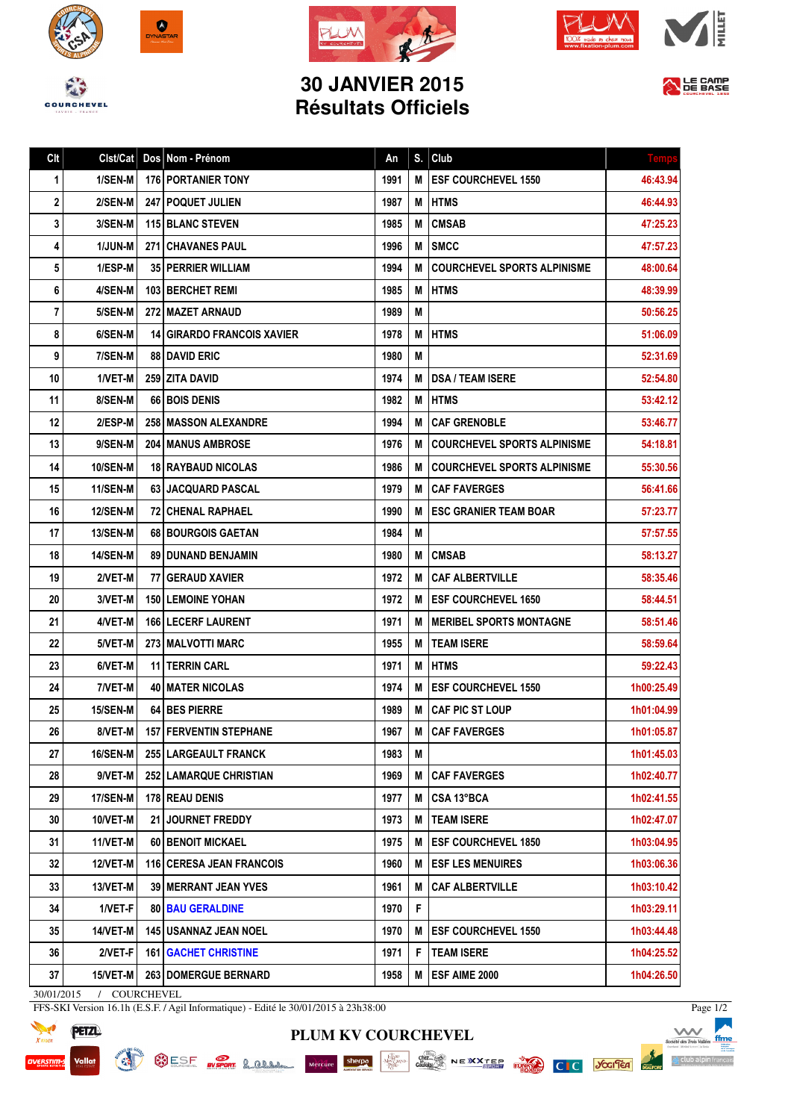







## **30 JANVIER 2015 Résultats Officiels**



| Clt          | Clst/Cat        | Dos Nom - Prénom                  | An   | S. | Club                               | Temp       |
|--------------|-----------------|-----------------------------------|------|----|------------------------------------|------------|
| 1            | 1/SEN-M         | 176 PORTANIER TONY                | 1991 | M  | <b>ESF COURCHEVEL 1550</b>         | 46:43.94   |
| $\mathbf{2}$ | 2/SEN-M         | <b>247   POQUET JULIEN</b>        | 1987 | М  | <b>HTMS</b>                        | 46:44.93   |
| 3            | 3/SEN-M         | <b>115 BLANC STEVEN</b>           | 1985 | М  | <b>CMSAB</b>                       | 47:25.23   |
| 4            | <b>1/JUN-M</b>  | <b>271 CHAVANES PAUL</b>          | 1996 | М  | <b>ISMCC</b>                       | 47:57.23   |
| 5            | 1/ESP-M         | <b>35   PERRIER WILLIAM</b>       | 1994 | M  | <b>COURCHEVEL SPORTS ALPINISME</b> | 48:00.64   |
| 6            | 4/SEN-M         | <b>103 BERCHET REMI</b>           | 1985 | М  | <b>HTMS</b>                        | 48:39.99   |
| 7            | 5/SEN-M         | <b>272 I MAZET ARNAUD</b>         | 1989 | М  |                                    | 50:56.25   |
| 8            | 6/SEN-M         | <b>14 GIRARDO FRANCOIS XAVIER</b> | 1978 | М  | <b>HTMS</b>                        | 51:06.09   |
| 9            | 7/SEN-M         | <b>88 DAVID ERIC</b>              | 1980 | М  |                                    | 52:31.69   |
| 10           | 1/VET-M         | 259   ZITA DAVID                  | 1974 | М  | <b>DSA / TEAM ISERE</b>            | 52:54.80   |
| 11           | 8/SEN-M         | 66 BOIS DENIS                     | 1982 | М  | <b>HTMS</b>                        | 53:42.12   |
| 12           | 2/ESP-M         | <b>258 MASSON ALEXANDRE</b>       | 1994 | М  | <b>CAF GRENOBLE</b>                | 53:46.77   |
| 13           | 9/SEN-M         | <b>204   MANUS AMBROSE</b>        | 1976 | М  | <b>COURCHEVEL SPORTS ALPINISME</b> | 54:18.81   |
| 14           | <b>10/SEN-M</b> | <b>18 RAYBAUD NICOLAS</b>         | 1986 | М  | <b>COURCHEVEL SPORTS ALPINISME</b> | 55:30.56   |
| 15           | 11/SEN-M        | 63 JACQUARD PASCAL                | 1979 | М  | <b>CAF FAVERGES</b>                | 56:41.66   |
| 16           | <b>12/SEN-M</b> | <b>72 CHENAL RAPHAEL</b>          | 1990 | М  | <b>ESC GRANIER TEAM BOAR</b>       | 57:23.77   |
| 17           | <b>13/SEN-M</b> | <b>68 BOURGOIS GAETAN</b>         | 1984 | М  |                                    | 57:57.55   |
| 18           | 14/SEN-M        | <b>89 DUNAND BENJAMIN</b>         | 1980 | M  | <b>CMSAB</b>                       | 58:13.27   |
| 19           | 2/VET-M         | 77   GERAUD XAVIER                | 1972 | М  | <b>CAF ALBERTVILLE</b>             | 58:35.46   |
| 20           | 3/VET-M         | <b>150 LEMOINE YOHAN</b>          | 1972 | М  | <b>ESF COURCHEVEL 1650</b>         | 58:44.51   |
| 21           | 4/VET-M         | <b>166   LECERF LAURENT</b>       | 1971 | М  | I MERIBEL SPORTS MONTAGNE          | 58:51.46   |
| 22           | 5/VET-M         | <b>273 MALVOTTI MARC</b>          | 1955 | М  | <b>TEAM ISERE</b>                  | 58:59.64   |
| 23           | 6/VET-M         | 11 TERRIN CARL                    | 1971 | М  | <b>HTMS</b>                        | 59:22.43   |
| 24           | 7/VET-M         | <b>40 MATER NICOLAS</b>           | 1974 | М  | <b>ESF COURCHEVEL 1550</b>         | 1h00:25.49 |
| 25           | 15/SEN-M        | <b>64 I BES PIERRE</b>            | 1989 | М  | CAF PIC ST LOUP                    | 1h01:04.99 |
| 26           | 8/VET-MI        | <b>157 FERVENTIN STEPHANE</b>     | 1967 |    | M CAF FAVERGES                     | 1h01:05.87 |
| 27           | 16/SEN-M        | 255 LARGEAULT FRANCK              | 1983 | M  |                                    | 1h01:45.03 |
| 28           | 9/VET-M         | <b>252 LAMARQUE CHRISTIAN</b>     | 1969 | М  | <b>CAF FAVERGES</b>                | 1h02:40.77 |
| 29           | 17/SEN-M        | <b>178 REAU DENIS</b>             | 1977 | М  | ∣CSA 13°BCA                        | 1h02:41.55 |
| 30           | 10/VET-M        | 21 JOURNET FREDDY                 | 1973 | М  | <b>TEAM ISERE</b>                  | 1h02:47.07 |
| 31           | 11/VET-M        | <b>60 BENOIT MICKAEL</b>          | 1975 | M  | <b>ESF COURCHEVEL 1850</b>         | 1h03:04.95 |
| 32           | 12/VET-M        | <b>116   CERESA JEAN FRANCOIS</b> | 1960 | Μ  | <b>ESF LES MENUIRES</b>            | 1h03:06.36 |
| 33           | 13/VET-M        | 39 MERRANT JEAN YVES              | 1961 | Μ  | <b>CAF ALBERTVILLE</b>             | 1h03:10.42 |
| 34           | 1/VET-F         | <b>80 BAU GERALDINE</b>           | 1970 | F  |                                    | 1h03:29.11 |
| 35           | 14/VET-M        | 145 USANNAZ JEAN NOEL             | 1970 | М  | <b>ESF COURCHEVEL 1550</b>         | 1h03:44.48 |
| 36           | 2/VET-F         | <b>161   GACHET CHRISTINE</b>     | 1971 | F. | <b>TEAM ISERE</b>                  | 1h04:25.52 |
| 37           | 15/VET-M        | 263   DOMERGUE BERNARD            | 1958 | М  | <b>ESF AIME 2000</b>               | 1h04:26.50 |
|              |                 |                                   |      |    |                                    |            |

**PLUM KV COURCHEVEL**

30/01/2015 / COURCHEVEL

SURFAIN OF SHING

FFS-SKI Version 16.1h (E.S.F. / Agil Informatique) - Edité le 30/01/2015 à 23h38:00